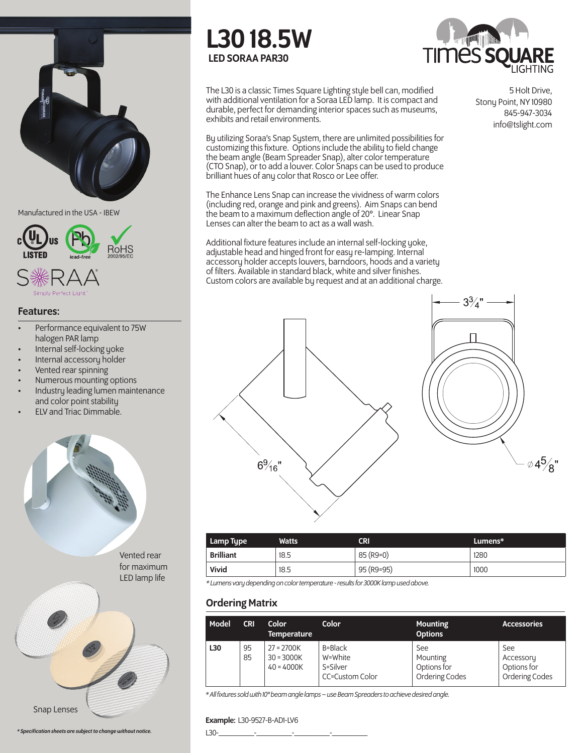

Manufactured in the USA - IBEW



#### Features:

- Performance equivalent to 75W halogen PAR lamp
- Internal self-locking yoke
- Internal accessory holder
- Vented rear spinning
- Numerous mounting options
- Industry leading lumen maintenance and color point stability
- ELV and Triac Dimmable.







The L30 is a classic Times Square Lighting style bell can, modified with additional ventilation for a Soraa LED lamp. It is compact and durable, perfect for demanding interior spaces such as museums, exhibits and retail environments.

By utilizing Soraa's Snap System, there are unlimited possibilities for customizing this fixture. Options include the ability to field change the beam angle (Beam Spreader Snap), alter color temperature (CTO Snap), or to add a louver. Color Snaps can be used to produce brilliant hues of any color that Rosco or Lee offer.

The Enhance Lens Snap can increase the vividness of warm colors (including red, orange and pink and greens). Aim Snaps can bend the beam to a maximum deflection angle of 20°. Linear Snap Lenses can alter the beam to act as a wall wash.

Additional fixture features include an internal self-locking yoke, adjustable head and hinged front for easy re-lamping. Internal accessory holder accepts louvers, barndoors, hoods and a variety of filters. Available in standard black, white and silver finishes. Custom colors are available by request and at an additional charge.

5 Holt Drive, Stony Point, NY 10980 845-947-3034 info@tslight.com





| Lamp Type        | <b>Watts</b> | CRI         | Lumens* |
|------------------|--------------|-------------|---------|
| <b>Brilliant</b> | 18.5         | $85$ (R9=0) | 1280    |
| Vivid            | 18.5         | 95 (R9=95)  | 1000    |

*\* Lumens vary depending on color temperature - results for 3000K lamp used above.*

# Ordering Matrix

| Model | <b>CRI</b> | Color<br><b>Temperature</b>                  | Color                                             | <b>Mounting</b><br><b>Options</b>                | <b>Accessories</b>                                       |
|-------|------------|----------------------------------------------|---------------------------------------------------|--------------------------------------------------|----------------------------------------------------------|
| L30   | 95<br>85   | $27 = 2700K$<br>$30 = 3000K$<br>$40 = 4000K$ | B=Black<br>W=White<br>S=Silver<br>CC=Custom Color | See<br>Mounting<br>Options for<br>Ordering Codes | See<br>Accessory<br>Options for<br><b>Ordering Codes</b> |

*\* All fixtures sold with 10° beam angle lamps – use Beam Spreaders to achieve desired angle.*

#### Example: L30-9527-B-AD1-LV6

\* Specification sheets are subject to change without notice.  $\Box$